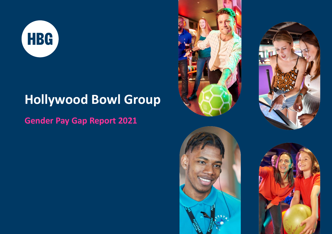

# **Hollywood Bowl Group**

**Gender Pay Gap Report 2021**







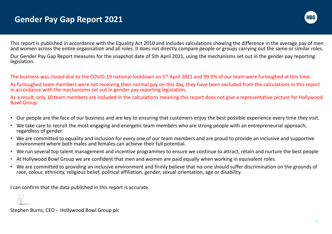

This report is published in accordance with the Equality Act 2010 and includes calculations showing the difference in the average pay of men and women across the entire organisation and all roles. It does not directly compare people or groups carrying out the same or similar roles.

Our Gender Pay Gap Report measures for the snapshot date of 5th April 2021, using the mechanisms set out in the gender pay reporting legislation.

The business was closed due to the COVID-19 national lockdown on 5th April 2021 and 99.9% of our team were furloughed at this time.

As furloughed team members were not receiving their normal pay on this day, they have been excluded from the calculations in this report in accordance with the mechanisms set out in gender pay reporting legislation.

As a result, only 10 team members are included in the calculations meaning this report does not give a representative picture for Hollywood Bowl Group.

- Our people are the face of our business and are key to ensuring that customers enjoy the best possible experience every time they visit.
- We take care to recruit the most engaging and energetic team members who are strong people with an entrepreneurial approach, regardless of gender.
- We are committed to equality and inclusion for every one of our team members and are proud to provide an inclusive and supportive environment where both males and females can achieve their full potential.
- We run several top talent management and incentive programmes to ensure we continue to attract, retain and nurture the best people
- At Hollywood Bowl Group we are confident that men and women are paid equally when working in equivalent roles.
- We are committed to providing an inclusive environment and firmly believe that no-one should suffer discrimination on the grounds of race, colour, ethnicity, religious belief, political affiliation, gender, sexual orientation, age or disability.

I can confirm that the data published in this report is accurate.

Stephen Burns, CEO - Hollywood Bowl Group plc